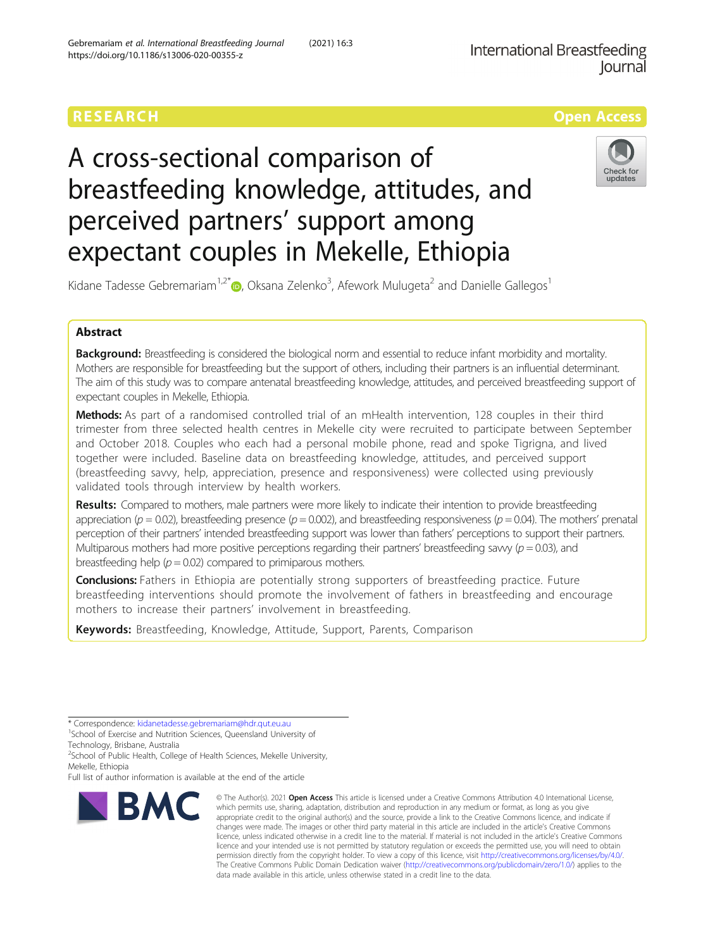# RESEARCH **RESEARCH CONSUMING THE CONSUMING THE CONSUMING TENS**

# A cross-sectional comparison of breastfeeding knowledge, attitudes, and perceived partners' support among expectant couples in Mekelle, Ethiopia



Kidane Tadesse Gebremariam<sup>1,2[\\*](http://orcid.org/0000-0003-1888-3318)</sup> $\textsf{\textcircled{\textsf{D}}}$ , Oksana Zelenko<sup>3</sup>, Afework Mulugeta<sup>2</sup> and Danielle Gallegos<sup>1</sup>

# Abstract

Background: Breastfeeding is considered the biological norm and essential to reduce infant morbidity and mortality. Mothers are responsible for breastfeeding but the support of others, including their partners is an influential determinant. The aim of this study was to compare antenatal breastfeeding knowledge, attitudes, and perceived breastfeeding support of expectant couples in Mekelle, Ethiopia.

Methods: As part of a randomised controlled trial of an mHealth intervention, 128 couples in their third trimester from three selected health centres in Mekelle city were recruited to participate between September and October 2018. Couples who each had a personal mobile phone, read and spoke Tigrigna, and lived together were included. Baseline data on breastfeeding knowledge, attitudes, and perceived support (breastfeeding savvy, help, appreciation, presence and responsiveness) were collected using previously validated tools through interview by health workers.

Results: Compared to mothers, male partners were more likely to indicate their intention to provide breastfeeding appreciation ( $p = 0.02$ ), breastfeeding presence ( $p = 0.002$ ), and breastfeeding responsiveness ( $p = 0.04$ ). The mothers' prenatal perception of their partners' intended breastfeeding support was lower than fathers' perceptions to support their partners. Multiparous mothers had more positive perceptions regarding their partners' breastfeeding savvy  $(p = 0.03)$ , and breastfeeding help ( $p = 0.02$ ) compared to primiparous mothers.

**Conclusions:** Fathers in Ethiopia are potentially strong supporters of breastfeeding practice. Future breastfeeding interventions should promote the involvement of fathers in breastfeeding and encourage mothers to increase their partners' involvement in breastfeeding.

Keywords: Breastfeeding, Knowledge, Attitude, Support, Parents, Comparison

\* Correspondence: [kidanetadesse.gebremariam@hdr.qut.eu.au](mailto:kidanetadesse.gebremariam@hdr.qut.eu.au) <sup>1</sup>

<sup>1</sup>School of Exercise and Nutrition Sciences, Queensland University of Technology, Brisbane, Australia

<sup>2</sup>School of Public Health, College of Health Sciences, Mekelle University, Mekelle, Ethiopia

Full list of author information is available at the end of the article



<sup>©</sup> The Author(s), 2021 **Open Access** This article is licensed under a Creative Commons Attribution 4.0 International License, which permits use, sharing, adaptation, distribution and reproduction in any medium or format, as long as you give appropriate credit to the original author(s) and the source, provide a link to the Creative Commons licence, and indicate if changes were made. The images or other third party material in this article are included in the article's Creative Commons licence, unless indicated otherwise in a credit line to the material. If material is not included in the article's Creative Commons licence and your intended use is not permitted by statutory regulation or exceeds the permitted use, you will need to obtain permission directly from the copyright holder. To view a copy of this licence, visit [http://creativecommons.org/licenses/by/4.0/.](http://creativecommons.org/licenses/by/4.0/) The Creative Commons Public Domain Dedication waiver [\(http://creativecommons.org/publicdomain/zero/1.0/](http://creativecommons.org/publicdomain/zero/1.0/)) applies to the data made available in this article, unless otherwise stated in a credit line to the data.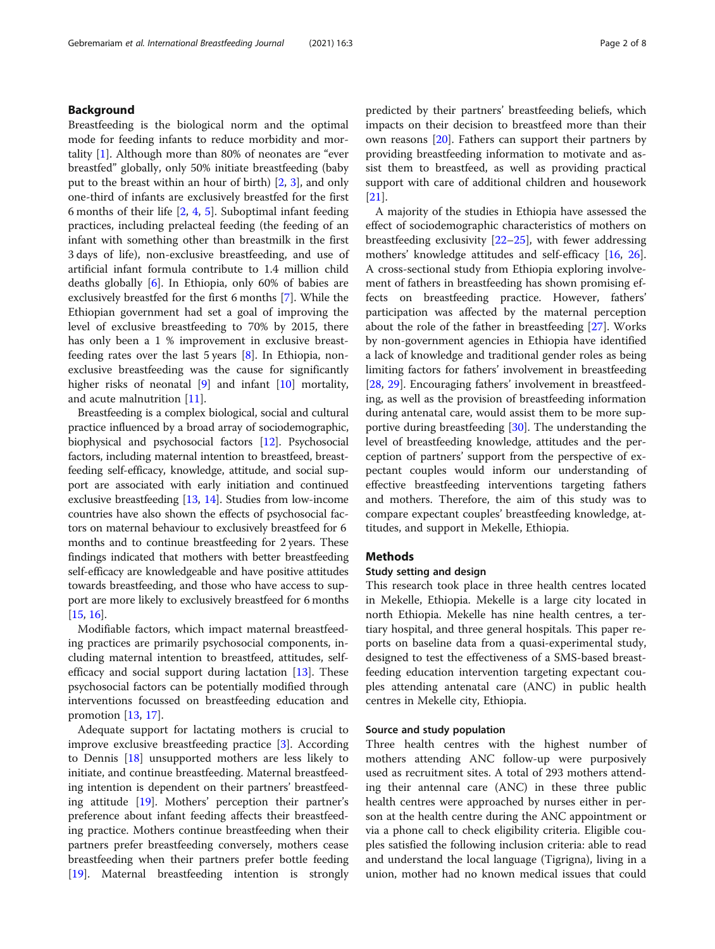# Background

Breastfeeding is the biological norm and the optimal mode for feeding infants to reduce morbidity and mortality [\[1](#page-6-0)]. Although more than 80% of neonates are "ever breastfed" globally, only 50% initiate breastfeeding (baby put to the breast within an hour of birth) [[2,](#page-6-0) [3\]](#page-6-0), and only one-third of infants are exclusively breastfed for the first 6 months of their life [\[2,](#page-6-0) [4](#page-6-0), [5\]](#page-6-0). Suboptimal infant feeding practices, including prelacteal feeding (the feeding of an infant with something other than breastmilk in the first 3 days of life), non-exclusive breastfeeding, and use of artificial infant formula contribute to 1.4 million child deaths globally [\[6\]](#page-6-0). In Ethiopia, only 60% of babies are exclusively breastfed for the first 6 months [[7\]](#page-6-0). While the Ethiopian government had set a goal of improving the level of exclusive breastfeeding to 70% by 2015, there has only been a 1 % improvement in exclusive breastfeeding rates over the last 5 years [\[8](#page-6-0)]. In Ethiopia, nonexclusive breastfeeding was the cause for significantly higher risks of neonatal [[9\]](#page-6-0) and infant [\[10\]](#page-6-0) mortality, and acute malnutrition [[11\]](#page-6-0).

Breastfeeding is a complex biological, social and cultural practice influenced by a broad array of sociodemographic, biophysical and psychosocial factors [\[12](#page-6-0)]. Psychosocial factors, including maternal intention to breastfeed, breastfeeding self-efficacy, knowledge, attitude, and social support are associated with early initiation and continued exclusive breastfeeding [\[13,](#page-6-0) [14\]](#page-6-0). Studies from low-income countries have also shown the effects of psychosocial factors on maternal behaviour to exclusively breastfeed for 6 months and to continue breastfeeding for 2 years. These findings indicated that mothers with better breastfeeding self-efficacy are knowledgeable and have positive attitudes towards breastfeeding, and those who have access to support are more likely to exclusively breastfeed for 6 months [[15](#page-6-0), [16\]](#page-6-0).

Modifiable factors, which impact maternal breastfeeding practices are primarily psychosocial components, including maternal intention to breastfeed, attitudes, selfefficacy and social support during lactation [[13\]](#page-6-0). These psychosocial factors can be potentially modified through interventions focussed on breastfeeding education and promotion [\[13](#page-6-0), [17](#page-6-0)].

Adequate support for lactating mothers is crucial to improve exclusive breastfeeding practice [[3\]](#page-6-0). According to Dennis [[18](#page-6-0)] unsupported mothers are less likely to initiate, and continue breastfeeding. Maternal breastfeeding intention is dependent on their partners' breastfeeding attitude [\[19\]](#page-6-0). Mothers' perception their partner's preference about infant feeding affects their breastfeeding practice. Mothers continue breastfeeding when their partners prefer breastfeeding conversely, mothers cease breastfeeding when their partners prefer bottle feeding [[19\]](#page-6-0). Maternal breastfeeding intention is strongly predicted by their partners' breastfeeding beliefs, which impacts on their decision to breastfeed more than their own reasons [\[20](#page-6-0)]. Fathers can support their partners by providing breastfeeding information to motivate and assist them to breastfeed, as well as providing practical support with care of additional children and housework [[21\]](#page-6-0).

A majority of the studies in Ethiopia have assessed the effect of sociodemographic characteristics of mothers on breastfeeding exclusivity [\[22](#page-6-0)–[25](#page-6-0)], with fewer addressing mothers' knowledge attitudes and self-efficacy [[16,](#page-6-0) [26](#page-7-0)]. A cross-sectional study from Ethiopia exploring involvement of fathers in breastfeeding has shown promising effects on breastfeeding practice. However, fathers' participation was affected by the maternal perception about the role of the father in breastfeeding [[27\]](#page-7-0). Works by non-government agencies in Ethiopia have identified a lack of knowledge and traditional gender roles as being limiting factors for fathers' involvement in breastfeeding [[28,](#page-7-0) [29\]](#page-7-0). Encouraging fathers' involvement in breastfeeding, as well as the provision of breastfeeding information during antenatal care, would assist them to be more supportive during breastfeeding [[30](#page-7-0)]. The understanding the level of breastfeeding knowledge, attitudes and the perception of partners' support from the perspective of expectant couples would inform our understanding of effective breastfeeding interventions targeting fathers and mothers. Therefore, the aim of this study was to compare expectant couples' breastfeeding knowledge, attitudes, and support in Mekelle, Ethiopia.

# Methods

# Study setting and design

This research took place in three health centres located in Mekelle, Ethiopia. Mekelle is a large city located in north Ethiopia. Mekelle has nine health centres, a tertiary hospital, and three general hospitals. This paper reports on baseline data from a quasi-experimental study, designed to test the effectiveness of a SMS-based breastfeeding education intervention targeting expectant couples attending antenatal care (ANC) in public health centres in Mekelle city, Ethiopia.

#### Source and study population

Three health centres with the highest number of mothers attending ANC follow-up were purposively used as recruitment sites. A total of 293 mothers attending their antennal care (ANC) in these three public health centres were approached by nurses either in person at the health centre during the ANC appointment or via a phone call to check eligibility criteria. Eligible couples satisfied the following inclusion criteria: able to read and understand the local language (Tigrigna), living in a union, mother had no known medical issues that could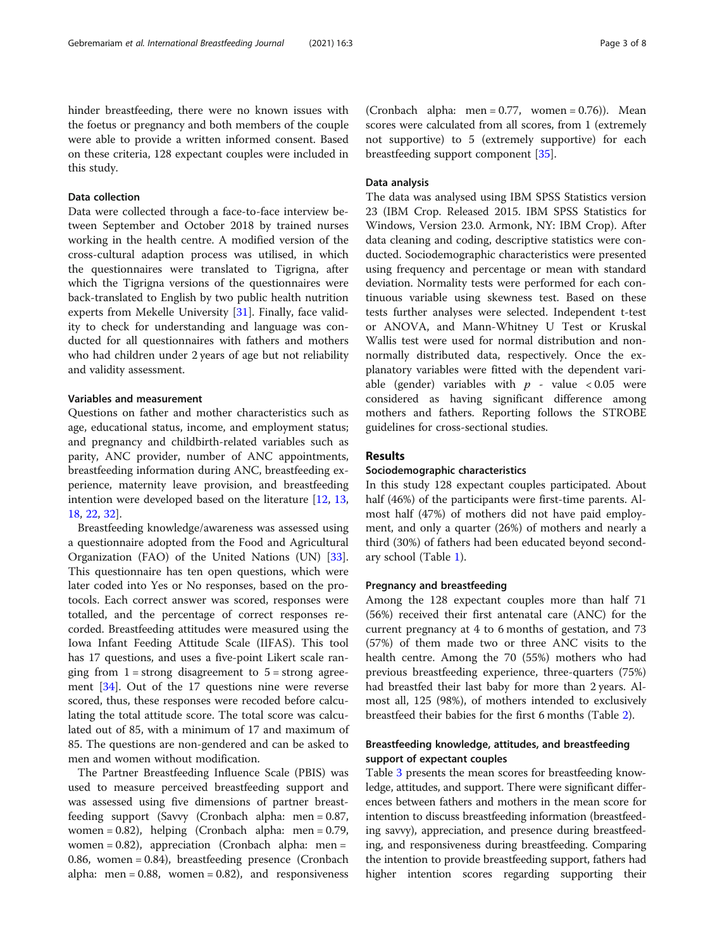hinder breastfeeding, there were no known issues with the foetus or pregnancy and both members of the couple were able to provide a written informed consent. Based on these criteria, 128 expectant couples were included in this study.

# Data collection

Data were collected through a face-to-face interview between September and October 2018 by trained nurses working in the health centre. A modified version of the cross-cultural adaption process was utilised, in which the questionnaires were translated to Tigrigna, after which the Tigrigna versions of the questionnaires were back-translated to English by two public health nutrition experts from Mekelle University [[31\]](#page-7-0). Finally, face validity to check for understanding and language was conducted for all questionnaires with fathers and mothers who had children under 2 years of age but not reliability and validity assessment.

# Variables and measurement

Questions on father and mother characteristics such as age, educational status, income, and employment status; and pregnancy and childbirth-related variables such as parity, ANC provider, number of ANC appointments, breastfeeding information during ANC, breastfeeding experience, maternity leave provision, and breastfeeding intention were developed based on the literature [\[12](#page-6-0), [13](#page-6-0), [18,](#page-6-0) [22](#page-6-0), [32](#page-7-0)].

Breastfeeding knowledge/awareness was assessed using a questionnaire adopted from the Food and Agricultural Organization (FAO) of the United Nations (UN) [\[33](#page-7-0)]. This questionnaire has ten open questions, which were later coded into Yes or No responses, based on the protocols. Each correct answer was scored, responses were totalled, and the percentage of correct responses recorded. Breastfeeding attitudes were measured using the Iowa Infant Feeding Attitude Scale (IIFAS). This tool has 17 questions, and uses a five-point Likert scale ranging from  $1 =$  strong disagreement to  $5 =$  strong agreement [[34\]](#page-7-0). Out of the 17 questions nine were reverse scored, thus, these responses were recoded before calculating the total attitude score. The total score was calculated out of 85, with a minimum of 17 and maximum of 85. The questions are non-gendered and can be asked to men and women without modification.

The Partner Breastfeeding Influence Scale (PBIS) was used to measure perceived breastfeeding support and was assessed using five dimensions of partner breastfeeding support (Savvy (Cronbach alpha: men = 0.87, women = 0.82), helping (Cronbach alpha: men = 0.79, women =  $0.82$ ), appreciation (Cronbach alpha: men = 0.86, women = 0.84), breastfeeding presence (Cronbach alpha: men =  $0.88$ , women =  $0.82$ ), and responsiveness

(Cronbach alpha: men =  $0.77$ , women =  $0.76$ )). Mean scores were calculated from all scores, from 1 (extremely not supportive) to 5 (extremely supportive) for each breastfeeding support component [[35\]](#page-7-0).

# Data analysis

The data was analysed using IBM SPSS Statistics version 23 (IBM Crop. Released 2015. IBM SPSS Statistics for Windows, Version 23.0. Armonk, NY: IBM Crop). After data cleaning and coding, descriptive statistics were conducted. Sociodemographic characteristics were presented using frequency and percentage or mean with standard deviation. Normality tests were performed for each continuous variable using skewness test. Based on these tests further analyses were selected. Independent t-test or ANOVA, and Mann-Whitney U Test or Kruskal Wallis test were used for normal distribution and nonnormally distributed data, respectively. Once the explanatory variables were fitted with the dependent variable (gender) variables with  $p$  - value < 0.05 were considered as having significant difference among mothers and fathers. Reporting follows the STROBE guidelines for cross-sectional studies.

# Results

## Sociodemographic characteristics

In this study 128 expectant couples participated. About half (46%) of the participants were first-time parents. Almost half (47%) of mothers did not have paid employment, and only a quarter (26%) of mothers and nearly a third (30%) of fathers had been educated beyond secondary school (Table [1](#page-3-0)).

# Pregnancy and breastfeeding

Among the 128 expectant couples more than half 71 (56%) received their first antenatal care (ANC) for the current pregnancy at 4 to 6 months of gestation, and 73 (57%) of them made two or three ANC visits to the health centre. Among the 70 (55%) mothers who had previous breastfeeding experience, three-quarters (75%) had breastfed their last baby for more than 2 years. Almost all, 125 (98%), of mothers intended to exclusively breastfeed their babies for the first 6 months (Table [2\)](#page-3-0).

# Breastfeeding knowledge, attitudes, and breastfeeding support of expectant couples

Table [3](#page-4-0) presents the mean scores for breastfeeding knowledge, attitudes, and support. There were significant differences between fathers and mothers in the mean score for intention to discuss breastfeeding information (breastfeeding savvy), appreciation, and presence during breastfeeding, and responsiveness during breastfeeding. Comparing the intention to provide breastfeeding support, fathers had higher intention scores regarding supporting their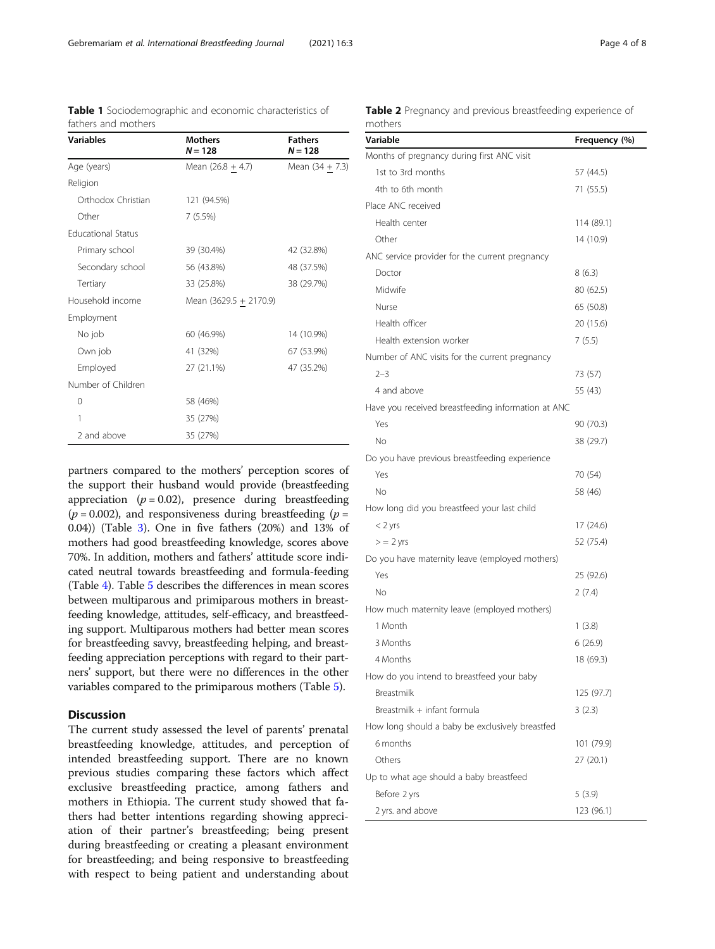<span id="page-3-0"></span>Table 1 Sociodemographic and economic characteristics of

fathers and mothers

| נטנווכוג טווט וווטנווכוג  |                             |                             |
|---------------------------|-----------------------------|-----------------------------|
| <b>Variables</b>          | <b>Mothers</b><br>$N = 128$ | <b>Fathers</b><br>$N = 128$ |
| Age (years)               | Mean $(26.8 + 4.7)$         | Mean (34 + 7.3)             |
| Religion                  |                             |                             |
| Orthodox Christian        | 121 (94.5%)                 |                             |
| Other                     | 7(5.5%)                     |                             |
| <b>Educational Status</b> |                             |                             |
| Primary school            | 39 (30.4%)                  | 42 (32.8%)                  |
| Secondary school          | 56 (43.8%)                  | 48 (37.5%)                  |
| Tertiary                  | 33 (25.8%)                  | 38 (29.7%)                  |
| Household income          | Mean (3629.5 + 2170.9)      |                             |
| Employment                |                             |                             |
| No job                    | 60 (46.9%)                  | 14 (10.9%)                  |
| Own job                   | 41 (32%)                    | 67 (53.9%)                  |
| Employed                  | 27 (21.1%)                  | 47 (35.2%)                  |
| Number of Children        |                             |                             |
| $\Omega$                  | 58 (46%)                    |                             |
| 1                         | 35 (27%)                    |                             |
| 2 and above               | 35 (27%)                    |                             |

partners compared to the mothers' perception scores of the support their husband would provide (breastfeeding appreciation ( $p = 0.02$ ), presence during breastfeeding  $(p = 0.002)$ , and responsiveness during breastfeeding  $(p = 0.002)$ 0.04)) (Table [3](#page-4-0)). One in five fathers (20%) and 13% of mothers had good breastfeeding knowledge, scores above 70%. In addition, mothers and fathers' attitude score indicated neutral towards breastfeeding and formula-feeding (Table [4\)](#page-4-0). Table [5](#page-5-0) describes the differences in mean scores between multiparous and primiparous mothers in breastfeeding knowledge, attitudes, self-efficacy, and breastfeeding support. Multiparous mothers had better mean scores for breastfeeding savvy, breastfeeding helping, and breastfeeding appreciation perceptions with regard to their partners' support, but there were no differences in the other variables compared to the primiparous mothers (Table [5\)](#page-5-0).

# **Discussion**

The current study assessed the level of parents' prenatal breastfeeding knowledge, attitudes, and perception of intended breastfeeding support. There are no known previous studies comparing these factors which affect exclusive breastfeeding practice, among fathers and mothers in Ethiopia. The current study showed that fathers had better intentions regarding showing appreciation of their partner's breastfeeding; being present during breastfeeding or creating a pleasant environment for breastfeeding; and being responsive to breastfeeding with respect to being patient and understanding about

|         |  | Table 2 Pregnancy and previous breastfeeding experience of |  |
|---------|--|------------------------------------------------------------|--|
| mothers |  |                                                            |  |

| Variable                                           | Frequency (%) |
|----------------------------------------------------|---------------|
| Months of pregnancy during first ANC visit         |               |
| 1st to 3rd months                                  | 57 (44.5)     |
| 4th to 6th month                                   | 71 (55.5)     |
| Place ANC received                                 |               |
| Health center                                      | 114 (89.1)    |
| Other                                              | 14 (10.9)     |
| ANC service provider for the current pregnancy     |               |
| Doctor                                             | 8(6.3)        |
| Midwife                                            | 80 (62.5)     |
| Nurse                                              | 65 (50.8)     |
| Health officer                                     | 20 (15.6)     |
| Health extension worker                            | 7(5.5)        |
| Number of ANC visits for the current pregnancy     |               |
| $2 - 3$                                            | 73 (57)       |
| 4 and above                                        | 55 (43)       |
| Have you received breastfeeding information at ANC |               |
| Yes                                                | 90 (70.3)     |
| No                                                 | 38 (29.7)     |
| Do you have previous breastfeeding experience      |               |
| Yes                                                | 70 (54)       |
| Νo                                                 | 58 (46)       |
| How long did you breastfeed your last child        |               |
| $<$ 2 yrs                                          | 17 (24.6)     |
| $\geq$ = 2 yrs                                     | 52 (75.4)     |
| Do you have maternity leave (employed mothers)     |               |
| Yes                                                | 25 (92.6)     |
| Νo                                                 | 2(7.4)        |
| How much maternity leave (employed mothers)        |               |
| 1 Month                                            | 1(3.8)        |
| 3 Months                                           | 6(26.9)       |
| 4 Months                                           | 18 (69.3)     |
| How do you intend to breastfeed your baby          |               |
| Breastmilk                                         | 125 (97.7)    |
| Breastmilk + infant formula                        | 3(2.3)        |
| How long should a baby be exclusively breastfed    |               |
| 6 months                                           | 101 (79.9)    |
| Others                                             | 27 (20.1)     |
| Up to what age should a baby breastfeed            |               |
| Before 2 yrs                                       | 5(3.9)        |
| 2 yrs. and above                                   | 123 (96.1)    |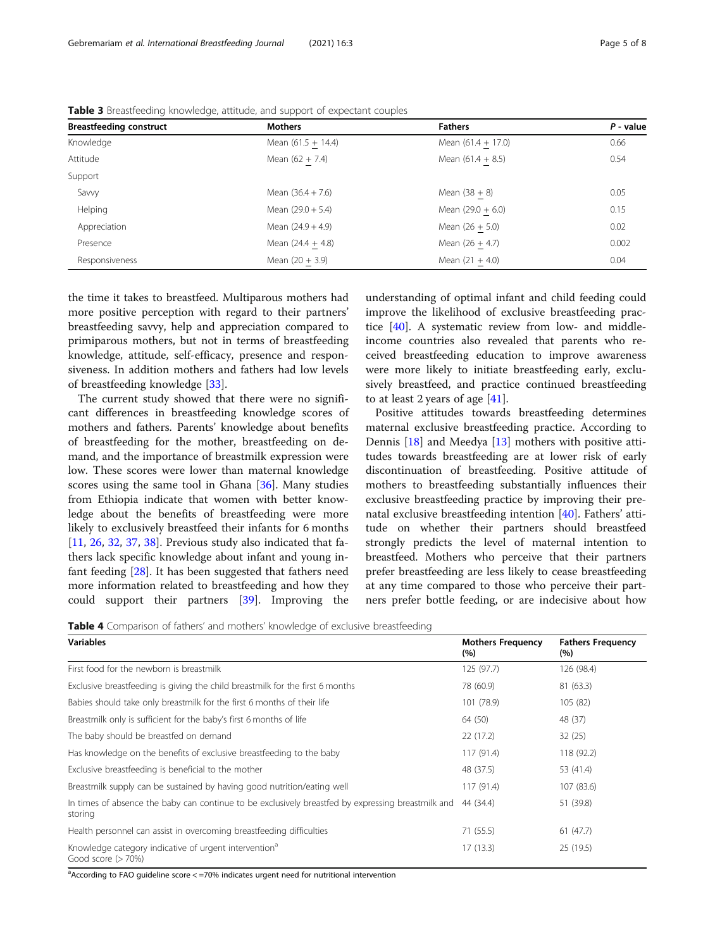| <b>Breastfeeding construct</b> | <b>Mothers</b>       | <b>Fathers</b>       | $P - value$ |
|--------------------------------|----------------------|----------------------|-------------|
| Knowledge                      | Mean $(61.5 + 14.4)$ | Mean $(61.4 + 17.0)$ | 0.66        |
| Attitude                       | Mean $(62 + 7.4)$    | Mean $(61.4 + 8.5)$  | 0.54        |
| Support                        |                      |                      |             |
| Savvy                          | Mean $(36.4 + 7.6)$  | Mean $(38 + 8)$      | 0.05        |
| Helping                        | Mean $(29.0 + 5.4)$  | Mean $(29.0 + 6.0)$  | 0.15        |
| Appreciation                   | Mean $(24.9 + 4.9)$  | Mean $(26 + 5.0)$    | 0.02        |
| Presence                       | Mean $(24.4 + 4.8)$  | Mean $(26 + 4.7)$    | 0.002       |
| Responsiveness                 | Mean $(20 + 3.9)$    | Mean $(21 + 4.0)$    | 0.04        |

<span id="page-4-0"></span>Table 3 Breastfeeding knowledge, attitude, and support of expectant couples

the time it takes to breastfeed. Multiparous mothers had more positive perception with regard to their partners' breastfeeding savvy, help and appreciation compared to primiparous mothers, but not in terms of breastfeeding knowledge, attitude, self-efficacy, presence and responsiveness. In addition mothers and fathers had low levels of breastfeeding knowledge [\[33](#page-7-0)].

The current study showed that there were no significant differences in breastfeeding knowledge scores of mothers and fathers. Parents' knowledge about benefits of breastfeeding for the mother, breastfeeding on demand, and the importance of breastmilk expression were low. These scores were lower than maternal knowledge scores using the same tool in Ghana [[36](#page-7-0)]. Many studies from Ethiopia indicate that women with better knowledge about the benefits of breastfeeding were more likely to exclusively breastfeed their infants for 6 months [[11,](#page-6-0) [26,](#page-7-0) [32,](#page-7-0) [37,](#page-7-0) [38\]](#page-7-0). Previous study also indicated that fathers lack specific knowledge about infant and young infant feeding [[28](#page-7-0)]. It has been suggested that fathers need more information related to breastfeeding and how they could support their partners [\[39](#page-7-0)]. Improving the

understanding of optimal infant and child feeding could improve the likelihood of exclusive breastfeeding practice [[40](#page-7-0)]. A systematic review from low- and middleincome countries also revealed that parents who received breastfeeding education to improve awareness were more likely to initiate breastfeeding early, exclusively breastfeed, and practice continued breastfeeding to at least 2 years of age [[41\]](#page-7-0).

Positive attitudes towards breastfeeding determines maternal exclusive breastfeeding practice. According to Dennis [[18\]](#page-6-0) and Meedya [[13\]](#page-6-0) mothers with positive attitudes towards breastfeeding are at lower risk of early discontinuation of breastfeeding. Positive attitude of mothers to breastfeeding substantially influences their exclusive breastfeeding practice by improving their prenatal exclusive breastfeeding intention [\[40](#page-7-0)]. Fathers' attitude on whether their partners should breastfeed strongly predicts the level of maternal intention to breastfeed. Mothers who perceive that their partners prefer breastfeeding are less likely to cease breastfeeding at any time compared to those who perceive their partners prefer bottle feeding, or are indecisive about how

Table 4 Comparison of fathers' and mothers' knowledge of exclusive breastfeeding

| <b>Variables</b>                                                                                              | <b>Mothers Frequency</b><br>(% ) | <b>Fathers Frequency</b><br>(%) |
|---------------------------------------------------------------------------------------------------------------|----------------------------------|---------------------------------|
| First food for the newborn is breastmilk                                                                      | 125 (97.7)                       | 126 (98.4)                      |
| Exclusive breastfeeding is giving the child breastmilk for the first 6 months                                 | 78 (60.9)                        | 81 (63.3)                       |
| Babies should take only breastmilk for the first 6 months of their life                                       | 101 (78.9)                       | 105(82)                         |
| Breastmilk only is sufficient for the baby's first 6 months of life                                           | 64 (50)                          | 48 (37)                         |
| The baby should be breastfed on demand                                                                        | 22(17.2)                         | 32(25)                          |
| Has knowledge on the benefits of exclusive breastfeeding to the baby                                          | 117 (91.4)                       | 118 (92.2)                      |
| Exclusive breastfeeding is beneficial to the mother                                                           | 48 (37.5)                        | 53 (41.4)                       |
| Breastmilk supply can be sustained by having good nutrition/eating well                                       | 117 (91.4)                       | 107 (83.6)                      |
| In times of absence the baby can continue to be exclusively breastfed by expressing breastmilk and<br>storing | 44 (34.4)                        | 51 (39.8)                       |
| Health personnel can assist in overcoming breastfeeding difficulties                                          | 71 (55.5)                        | 61(47.7)                        |
| Knowledge category indicative of urgent intervention <sup>a</sup><br>Good score $(>70%)$                      | 17(13.3)                         | 25 (19.5)                       |

<sup>a</sup>According to FAO guideline score < =70% indicates urgent need for nutritional intervention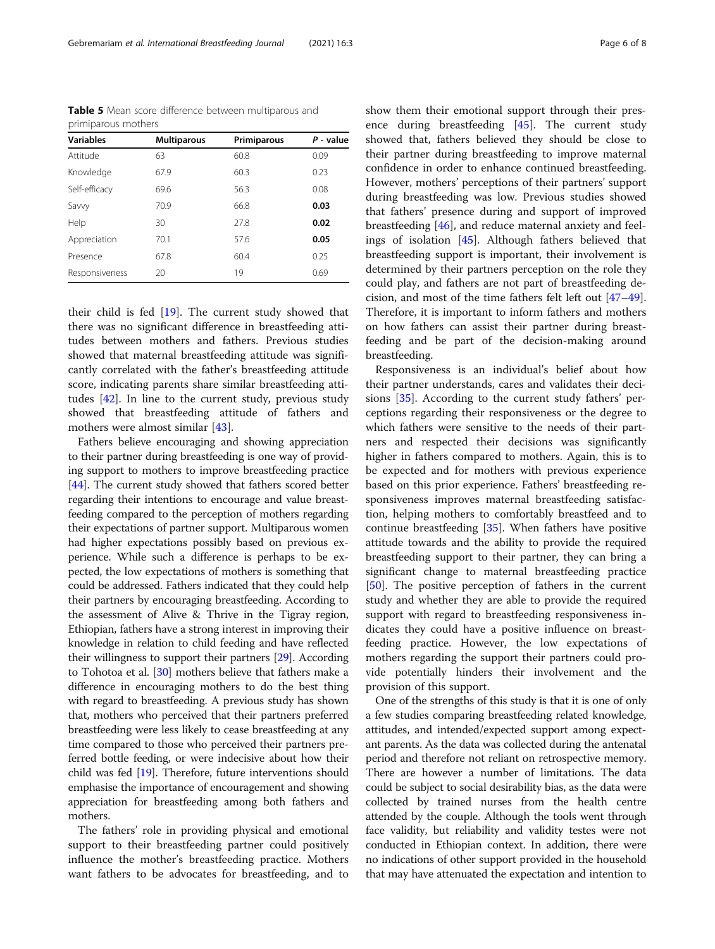<span id="page-5-0"></span>Table 5 Mean score difference between multiparous and primiparous mothers

| <b>Variables</b> | <b>Multiparous</b> | Primiparous | $P - value$ |
|------------------|--------------------|-------------|-------------|
| Attitude         | 63                 | 60.8        | 0.09        |
| Knowledge        | 67.9               | 60.3        | 0.23        |
| Self-efficacy    | 69.6               | 56.3        | 0.08        |
| Savvy            | 70.9               | 66.8        | 0.03        |
| Help             | 30                 | 27.8        | 0.02        |
| Appreciation     | 70.1               | 57.6        | 0.05        |
| Presence         | 67.8               | 60.4        | 0.25        |
| Responsiveness   | 20                 | 19          | 0.69        |

their child is fed  $[19]$  $[19]$ . The current study showed that there was no significant difference in breastfeeding attitudes between mothers and fathers. Previous studies showed that maternal breastfeeding attitude was significantly correlated with the father's breastfeeding attitude score, indicating parents share similar breastfeeding attitudes [[42\]](#page-7-0). In line to the current study, previous study showed that breastfeeding attitude of fathers and mothers were almost similar [\[43](#page-7-0)].

Fathers believe encouraging and showing appreciation to their partner during breastfeeding is one way of providing support to mothers to improve breastfeeding practice [[44](#page-7-0)]. The current study showed that fathers scored better regarding their intentions to encourage and value breastfeeding compared to the perception of mothers regarding their expectations of partner support. Multiparous women had higher expectations possibly based on previous experience. While such a difference is perhaps to be expected, the low expectations of mothers is something that could be addressed. Fathers indicated that they could help their partners by encouraging breastfeeding. According to the assessment of Alive & Thrive in the Tigray region, Ethiopian, fathers have a strong interest in improving their knowledge in relation to child feeding and have reflected their willingness to support their partners [\[29\]](#page-7-0). According to Tohotoa et al. [[30](#page-7-0)] mothers believe that fathers make a difference in encouraging mothers to do the best thing with regard to breastfeeding. A previous study has shown that, mothers who perceived that their partners preferred breastfeeding were less likely to cease breastfeeding at any time compared to those who perceived their partners preferred bottle feeding, or were indecisive about how their child was fed [[19](#page-6-0)]. Therefore, future interventions should emphasise the importance of encouragement and showing appreciation for breastfeeding among both fathers and mothers.

The fathers' role in providing physical and emotional support to their breastfeeding partner could positively influence the mother's breastfeeding practice. Mothers want fathers to be advocates for breastfeeding, and to show them their emotional support through their presence during breastfeeding [\[45](#page-7-0)]. The current study showed that, fathers believed they should be close to their partner during breastfeeding to improve maternal confidence in order to enhance continued breastfeeding. However, mothers' perceptions of their partners' support during breastfeeding was low. Previous studies showed that fathers' presence during and support of improved breastfeeding [[46\]](#page-7-0), and reduce maternal anxiety and feelings of isolation [[45](#page-7-0)]. Although fathers believed that breastfeeding support is important, their involvement is determined by their partners perception on the role they could play, and fathers are not part of breastfeeding decision, and most of the time fathers felt left out [[47](#page-7-0)–[49](#page-7-0)]. Therefore, it is important to inform fathers and mothers on how fathers can assist their partner during breastfeeding and be part of the decision-making around breastfeeding.

Responsiveness is an individual's belief about how their partner understands, cares and validates their decisions [[35](#page-7-0)]. According to the current study fathers' perceptions regarding their responsiveness or the degree to which fathers were sensitive to the needs of their partners and respected their decisions was significantly higher in fathers compared to mothers. Again, this is to be expected and for mothers with previous experience based on this prior experience. Fathers' breastfeeding responsiveness improves maternal breastfeeding satisfaction, helping mothers to comfortably breastfeed and to continue breastfeeding [\[35](#page-7-0)]. When fathers have positive attitude towards and the ability to provide the required breastfeeding support to their partner, they can bring a significant change to maternal breastfeeding practice [[50\]](#page-7-0). The positive perception of fathers in the current study and whether they are able to provide the required support with regard to breastfeeding responsiveness indicates they could have a positive influence on breastfeeding practice. However, the low expectations of mothers regarding the support their partners could provide potentially hinders their involvement and the provision of this support.

One of the strengths of this study is that it is one of only a few studies comparing breastfeeding related knowledge, attitudes, and intended/expected support among expectant parents. As the data was collected during the antenatal period and therefore not reliant on retrospective memory. There are however a number of limitations. The data could be subject to social desirability bias, as the data were collected by trained nurses from the health centre attended by the couple. Although the tools went through face validity, but reliability and validity testes were not conducted in Ethiopian context. In addition, there were no indications of other support provided in the household that may have attenuated the expectation and intention to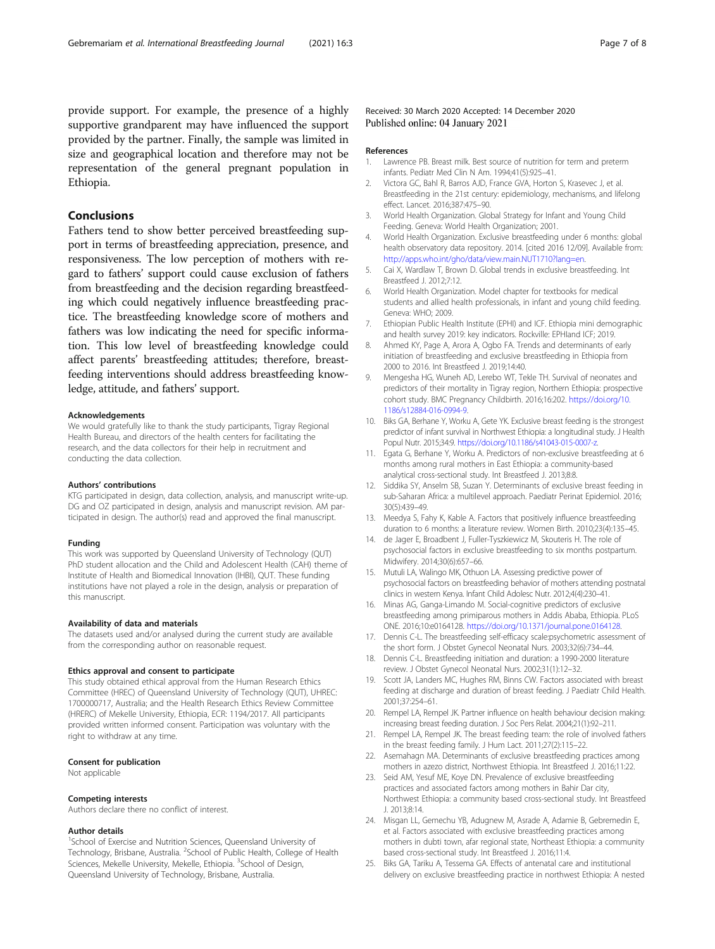<span id="page-6-0"></span>provide support. For example, the presence of a highly supportive grandparent may have influenced the support provided by the partner. Finally, the sample was limited in size and geographical location and therefore may not be representation of the general pregnant population in Ethiopia.

# Conclusions

Fathers tend to show better perceived breastfeeding support in terms of breastfeeding appreciation, presence, and responsiveness. The low perception of mothers with regard to fathers' support could cause exclusion of fathers from breastfeeding and the decision regarding breastfeeding which could negatively influence breastfeeding practice. The breastfeeding knowledge score of mothers and fathers was low indicating the need for specific information. This low level of breastfeeding knowledge could affect parents' breastfeeding attitudes; therefore, breastfeeding interventions should address breastfeeding knowledge, attitude, and fathers' support.

#### Acknowledgements

We would gratefully like to thank the study participants, Tigray Regional Health Bureau, and directors of the health centers for facilitating the research, and the data collectors for their help in recruitment and conducting the data collection.

# Authors' contributions

KTG participated in design, data collection, analysis, and manuscript write-up. DG and OZ participated in design, analysis and manuscript revision. AM participated in design. The author(s) read and approved the final manuscript.

#### Funding

This work was supported by Queensland University of Technology (QUT) PhD student allocation and the Child and Adolescent Health (CAH) theme of Institute of Health and Biomedical Innovation (IHBI), QUT. These funding institutions have not played a role in the design, analysis or preparation of this manuscript.

#### Availability of data and materials

The datasets used and/or analysed during the current study are available from the corresponding author on reasonable request.

#### Ethics approval and consent to participate

This study obtained ethical approval from the Human Research Ethics Committee (HREC) of Queensland University of Technology (QUT), UHREC: 1700000717, Australia; and the Health Research Ethics Review Committee (HRERC) of Mekelle University, Ethiopia, ECR: 1194/2017. All participants provided written informed consent. Participation was voluntary with the right to withdraw at any time.

#### Consent for publication

Not applicable

#### Competing interests

Authors declare there no conflict of interest.

### Author details

<sup>1</sup>School of Exercise and Nutrition Sciences, Queensland University of Technology, Brisbane, Australia. <sup>2</sup>School of Public Health, College of Health Sciences, Mekelle University, Mekelle, Ethiopia. <sup>3</sup>School of Design, Queensland University of Technology, Brisbane, Australia.

# Received: 30 March 2020 Accepted: 14 December 2020 Published online: 04 January 2021

#### References

- 1. Lawrence PB. Breast milk. Best source of nutrition for term and preterm infants. Pediatr Med Clin N Am. 1994;41(5):925–41.
- 2. Victora GC, Bahl R, Barros AJD, France GVA, Horton S, Krasevec J, et al. Breastfeeding in the 21st century: epidemiology, mechanisms, and lifelong effect. Lancet. 2016;387:475–90.
- 3. World Health Organization. Global Strategy for Infant and Young Child Feeding. Geneva: World Health Organization; 2001.
- 4. World Health Organization. Exclusive breastfeeding under 6 months: global health observatory data repository. 2014. [cited 2016 12/09]. Available from: [http://apps.who.int/gho/data/view.main.NUT1710?lang=en.](http://apps.who.int/gho/data/view.main.NUT1710?lang=en)
- 5. Cai X, Wardlaw T, Brown D. Global trends in exclusive breastfeeding. Int Breastfeed J. 2012;7:12.
- 6. World Health Organization. Model chapter for textbooks for medical students and allied health professionals, in infant and young child feeding. Geneva: WHO; 2009.
- 7. Ethiopian Public Health Institute (EPHI) and ICF. Ethiopia mini demographic and health survey 2019: key indicators. Rockville: EPHIand ICF; 2019.
- 8. Ahmed KY, Page A, Arora A, Ogbo FA. Trends and determinants of early initiation of breastfeeding and exclusive breastfeeding in Ethiopia from 2000 to 2016. Int Breastfeed J. 2019;14:40.
- 9. Mengesha HG, Wuneh AD, Lerebo WT, Tekle TH. Survival of neonates and predictors of their mortality in Tigray region, Northern Ethiopia: prospective cohort study. BMC Pregnancy Childbirth. 2016;16:202. [https://doi.org/10.](https://doi.org/10.1186/s12884-016-0994-9) [1186/s12884-016-0994-9](https://doi.org/10.1186/s12884-016-0994-9).
- 10. Biks GA, Berhane Y, Worku A, Gete YK. Exclusive breast feeding is the strongest predictor of infant survival in Northwest Ethiopia: a longitudinal study. J Health Popul Nutr. 2015;34:9. <https://doi.org/10.1186/s41043-015-0007-z>.
- 11. Egata G, Berhane Y, Worku A. Predictors of non-exclusive breastfeeding at 6 months among rural mothers in East Ethiopia: a community-based analytical cross-sectional study. Int Breastfeed J. 2013;8:8.
- 12. Siddika SY, Anselm SB, Suzan Y. Determinants of exclusive breast feeding in sub-Saharan Africa: a multilevel approach. Paediatr Perinat Epidemiol. 2016; 30(5):439–49.
- 13. Meedya S, Fahy K, Kable A. Factors that positively influence breastfeeding duration to 6 months: a literature review. Women Birth. 2010;23(4):135–45.
- 14. de Jager E, Broadbent J, Fuller-Tyszkiewicz M, Skouteris H. The role of psychosocial factors in exclusive breastfeeding to six months postpartum. Midwifery. 2014;30(6):657–66.
- 15. Mutuli LA, Walingo MK, Othuon LA. Assessing predictive power of psychosocial factors on breastfeeding behavior of mothers attending postnatal clinics in western Kenya. Infant Child Adolesc Nutr. 2012;4(4):230–41.
- 16. Minas AG, Ganga-Limando M. Social-cognitive predictors of exclusive breastfeeding among primiparous mothers in Addis Ababa, Ethiopia. PLoS ONE. 2016;10:e0164128. [https://doi.org/10.1371/journal.pone.0164128.](https://doi.org/10.1371/journal.pone.0164128)
- 17. Dennis C-L. The breastfeeding self-efficacy scale:psychometric assessment of the short form. J Obstet Gynecol Neonatal Nurs. 2003;32(6):734–44.
- 18. Dennis C-L. Breastfeeding initiation and duration: a 1990-2000 literature review. J Obstet Gynecol Neonatal Nurs. 2002;31(1):12–32.
- 19. Scott JA, Landers MC, Hughes RM, Binns CW. Factors associated with breast feeding at discharge and duration of breast feeding. J Paediatr Child Health. 2001;37:254–61.
- 20. Rempel LA, Rempel JK. Partner influence on health behaviour decision making: increasing breast feeding duration. J Soc Pers Relat. 2004;21(1):92–211.
- 21. Rempel LA, Rempel JK. The breast feeding team: the role of involved fathers in the breast feeding family. J Hum Lact. 2011;27(2):115–22.
- 22. Asemahagn MA. Determinants of exclusive breastfeeding practices among mothers in azezo district, Northwest Ethiopia. Int Breastfeed J. 2016;11:22.
- 23. Seid AM, Yesuf ME, Koye DN. Prevalence of exclusive breastfeeding practices and associated factors among mothers in Bahir Dar city, Northwest Ethiopia: a community based cross-sectional study. Int Breastfeed J. 2013;8:14.
- 24. Misgan LL, Gemechu YB, Adugnew M, Asrade A, Adamie B, Gebremedin E, et al. Factors associated with exclusive breastfeeding practices among mothers in dubti town, afar regional state, Northeast Ethiopia: a community based cross-sectional study. Int Breastfeed J. 2016;11:4.
- 25. Biks GA, Tariku A, Tessema GA. Effects of antenatal care and institutional delivery on exclusive breastfeeding practice in northwest Ethiopia: A nested